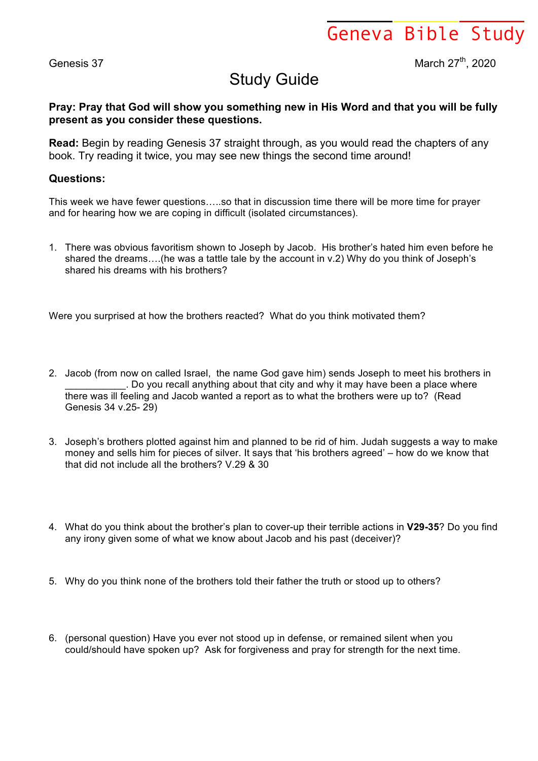Geneva Bible Study

Genesis 37 March 27<sup>th</sup>, 2020

## Study Guide

## **Pray: Pray that God will show you something new in His Word and that you will be fully present as you consider these questions.**

**Read:** Begin by reading Genesis 37 straight through, as you would read the chapters of any book. Try reading it twice, you may see new things the second time around!

## **Questions:**

This week we have fewer questions…..so that in discussion time there will be more time for prayer and for hearing how we are coping in difficult (isolated circumstances).

1. There was obvious favoritism shown to Joseph by Jacob. His brother's hated him even before he shared the dreams….(he was a tattle tale by the account in v.2) Why do you think of Joseph's shared his dreams with his brothers?

Were you surprised at how the brothers reacted? What do you think motivated them?

- 2. Jacob (from now on called Israel, the name God gave him) sends Joseph to meet his brothers in . Do you recall anything about that city and why it may have been a place where there was ill feeling and Jacob wanted a report as to what the brothers were up to? (Read Genesis 34 v.25- 29)
- 3. Joseph's brothers plotted against him and planned to be rid of him. Judah suggests a way to make money and sells him for pieces of silver. It says that 'his brothers agreed' – how do we know that that did not include all the brothers? V.29 & 30
- 4. What do you think about the brother's plan to cover-up their terrible actions in **V29-35**? Do you find any irony given some of what we know about Jacob and his past (deceiver)?
- 5. Why do you think none of the brothers told their father the truth or stood up to others?
- 6. (personal question) Have you ever not stood up in defense, or remained silent when you could/should have spoken up? Ask for forgiveness and pray for strength for the next time.